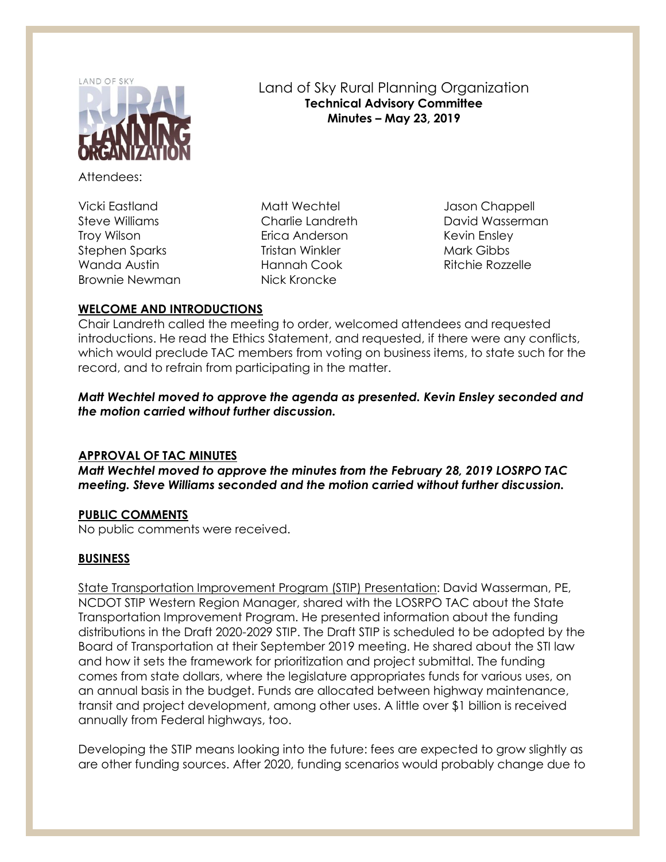

Attendees:

Vicki Eastland Steve Williams Troy Wilson Stephen Sparks Wanda Austin Brownie Newman

Matt Wechtel Charlie Landreth Erica Anderson Tristan Winkler Hannah Cook Nick Kroncke

Jason Chappell David Wasserman Kevin Ensley Mark Gibbs Ritchie Rozzelle

# **WELCOME AND INTRODUCTIONS**

Chair Landreth called the meeting to order, welcomed attendees and requested introductions. He read the Ethics Statement, and requested, if there were any conflicts, which would preclude TAC members from voting on business items, to state such for the record, and to refrain from participating in the matter.

Land of Sky Rural Planning Organization **Technical Advisory Committee Minutes – May 23, 2019**

*Matt Wechtel moved to approve the agenda as presented. Kevin Ensley seconded and the motion carried without further discussion.*

# **APPROVAL OF TAC MINUTES**

*Matt Wechtel moved to approve the minutes from the February 28, 2019 LOSRPO TAC meeting. Steve Williams seconded and the motion carried without further discussion.*

# **PUBLIC COMMENTS**

No public comments were received.

# **BUSINESS**

State Transportation Improvement Program (STIP) Presentation: David Wasserman, PE, NCDOT STIP Western Region Manager, shared with the LOSRPO TAC about the State Transportation Improvement Program. He presented information about the funding distributions in the Draft 2020-2029 STIP. The Draft STIP is scheduled to be adopted by the Board of Transportation at their September 2019 meeting. He shared about the STI law and how it sets the framework for prioritization and project submittal. The funding comes from state dollars, where the legislature appropriates funds for various uses, on an annual basis in the budget. Funds are allocated between highway maintenance, transit and project development, among other uses. A little over \$1 billion is received annually from Federal highways, too.

Developing the STIP means looking into the future: fees are expected to grow slightly as are other funding sources. After 2020, funding scenarios would probably change due to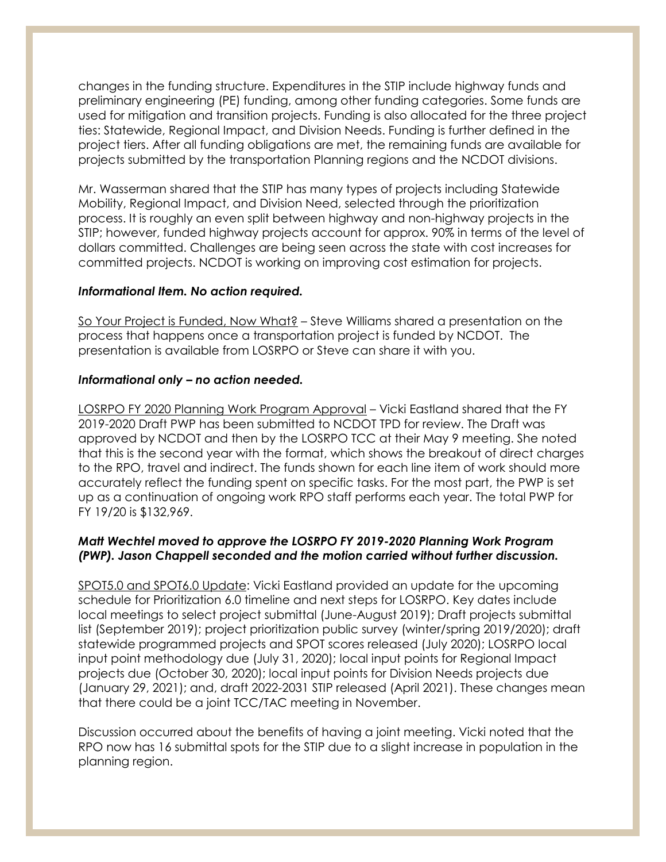changes in the funding structure. Expenditures in the STIP include highway funds and preliminary engineering (PE) funding, among other funding categories. Some funds are used for mitigation and transition projects. Funding is also allocated for the three project ties: Statewide, Regional Impact, and Division Needs. Funding is further defined in the project tiers. After all funding obligations are met, the remaining funds are available for projects submitted by the transportation Planning regions and the NCDOT divisions.

Mr. Wasserman shared that the STIP has many types of projects including Statewide Mobility, Regional Impact, and Division Need, selected through the prioritization process. It is roughly an even split between highway and non-highway projects in the STIP; however, funded highway projects account for approx. 90% in terms of the level of dollars committed. Challenges are being seen across the state with cost increases for committed projects. NCDOT is working on improving cost estimation for projects.

### *Informational Item. No action required.*

So Your Project is Funded, Now What? – Steve Williams shared a presentation on the process that happens once a transportation project is funded by NCDOT. The presentation is available from LOSRPO or Steve can share it with you.

### *Informational only – no action needed.*

LOSRPO FY 2020 Planning Work Program Approval – Vicki Eastland shared that the FY 2019-2020 Draft PWP has been submitted to NCDOT TPD for review. The Draft was approved by NCDOT and then by the LOSRPO TCC at their May 9 meeting. She noted that this is the second year with the format, which shows the breakout of direct charges to the RPO, travel and indirect. The funds shown for each line item of work should more accurately reflect the funding spent on specific tasks. For the most part, the PWP is set up as a continuation of ongoing work RPO staff performs each year. The total PWP for FY 19/20 is \$132,969.

### *Matt Wechtel moved to approve the LOSRPO FY 2019-2020 Planning Work Program (PWP). Jason Chappell seconded and the motion carried without further discussion.*

SPOT5.0 and SPOT6.0 Update: Vicki Eastland provided an update for the upcoming schedule for Prioritization 6.0 timeline and next steps for LOSRPO. Key dates include local meetings to select project submittal (June-August 2019); Draft projects submittal list (September 2019); project prioritization public survey (winter/spring 2019/2020); draft statewide programmed projects and SPOT scores released (July 2020); LOSRPO local input point methodology due (July 31, 2020); local input points for Regional Impact projects due (October 30, 2020); local input points for Division Needs projects due (January 29, 2021); and, draft 2022-2031 STIP released (April 2021). These changes mean that there could be a joint TCC/TAC meeting in November.

Discussion occurred about the benefits of having a joint meeting. Vicki noted that the RPO now has 16 submittal spots for the STIP due to a slight increase in population in the planning region.